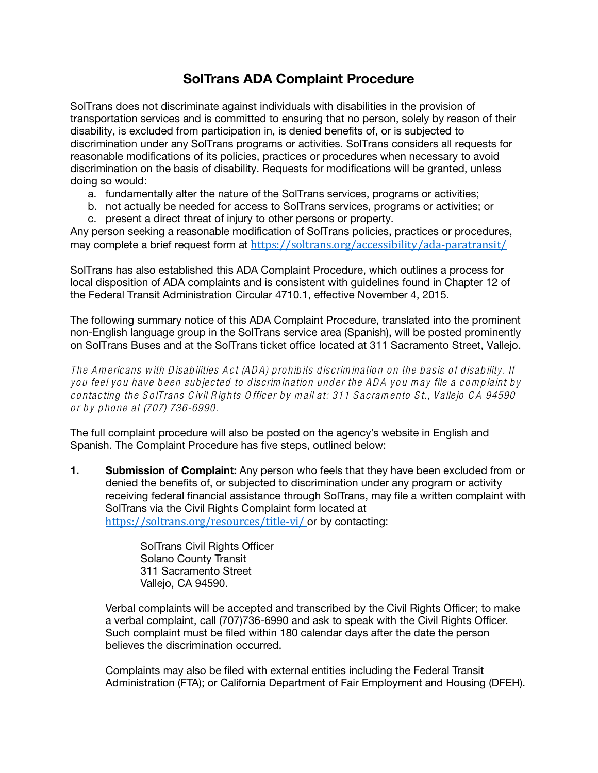## SolTrans ADA Complaint Procedure

SolTrans does not discriminate against individuals with disabilities in the provision of transportation services and is committed to ensuring that no person, solely by reason of their disability, is excluded from participation in, is denied benefits of, or is subjected to discrimination under any SolTrans programs or activities. SolTrans considers all requests for reasonable modifications of its policies, practices or procedures when necessary to avoid discrimination on the basis of disability. Requests for modifications will be granted, unless doing so would:

- a. fundamentally alter the nature of the SolTrans services, programs or activities;
- b. not actually be needed for access to SolTrans services, programs or activities; or
- c. present a direct threat of injury to other persons or property.

Any person seeking a reasonable modification of SolTrans policies, practices or procedures, may complete a brief request form at https://soltrans.org/accessibility/ada-paratransit/

SolTrans has also established this ADA Complaint Procedure, which outlines a process for local disposition of ADA complaints and is consistent with guidelines found in Chapter 12 of the Federal Transit Administration Circular 4710.1, effective November 4, 2015.

The following summary notice of this ADA Complaint Procedure, translated into the prominent non-English language group in the SolTrans service area (Spanish), will be posted prominently on SolTrans Buses and at the SolTrans ticket office located at 311 Sacramento Street, Vallejo.

*The A m ericans w ith D isab ilities A ct (A D A ) p ro hib its d iscrim inatio n o n the b asis o f d isab ility. If you feel you have b een sub jected to d iscrim ination und er the ADA you m ay file a com p laint by co ntacting the S o lTrans C ivil R ights O fficer b y m ail at: 311 S acram en to S t., Vallejo C A 94590 o r b y p ho ne at (707) 736-6990.*

The full complaint procedure will also be posted on the agency's website in English and Spanish. The Complaint Procedure has five steps, outlined below:

**1.** Submission of Complaint: Any person who feels that they have been excluded from or denied the benefits of, or subjected to discrimination under any program or activity receiving federal financial assistance through SolTrans, may file a written complaint with SolTrans via the Civil Rights Complaint form located at <https://soltrans.org/resources/title-vi/> or by contacting:

> SolTrans Civil Rights Officer Solano County Transit 311 Sacramento Street Vallejo, CA 94590.

Verbal complaints will be accepted and transcribed by the Civil Rights Officer; to make a verbal complaint, call (707)736-6990 and ask to speak with the Civil Rights Officer. Such complaint must be filed within 180 calendar days after the date the person believes the discrimination occurred.

Complaints may also be filed with external entities including the Federal Transit Administration (FTA); or California Department of Fair Employment and Housing (DFEH).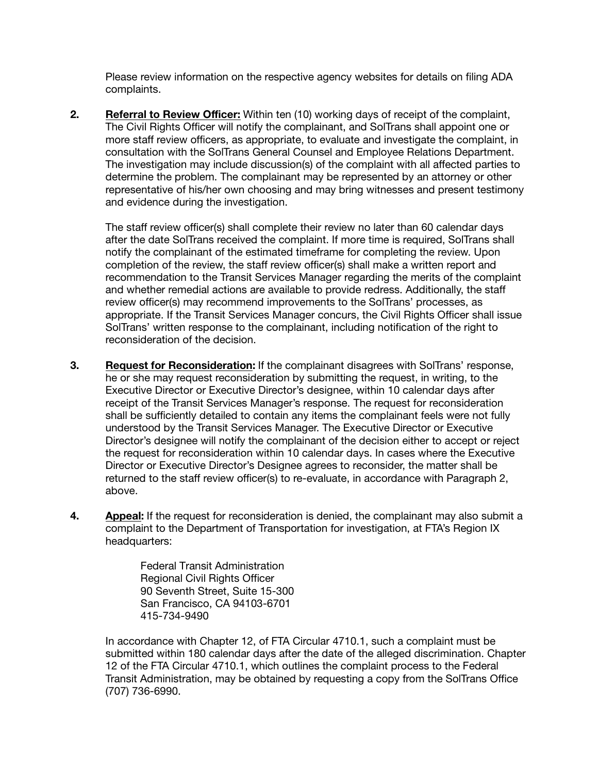Please review information on the respective agency websites for details on filing ADA complaints.

**2.** Referral to Review Officer: Within ten (10) working days of receipt of the complaint, The Civil Rights Officer will notify the complainant, and SolTrans shall appoint one or more staff review officers, as appropriate, to evaluate and investigate the complaint, in consultation with the SolTrans General Counsel and Employee Relations Department. The investigation may include discussion(s) of the complaint with all affected parties to determine the problem. The complainant may be represented by an attorney or other representative of his/her own choosing and may bring witnesses and present testimony and evidence during the investigation.

The staff review officer(s) shall complete their review no later than 60 calendar days after the date SolTrans received the complaint. If more time is required, SolTrans shall notify the complainant of the estimated timeframe for completing the review. Upon completion of the review, the staff review officer(s) shall make a written report and recommendation to the Transit Services Manager regarding the merits of the complaint and whether remedial actions are available to provide redress. Additionally, the staff review officer(s) may recommend improvements to the SolTrans' processes, as appropriate. If the Transit Services Manager concurs, the Civil Rights Officer shall issue SolTrans' written response to the complainant, including notification of the right to reconsideration of the decision.

- 3. Request for Reconsideration: If the complainant disagrees with SolTrans' response, he or she may request reconsideration by submitting the request, in writing, to the Executive Director or Executive Director's designee, within 10 calendar days after receipt of the Transit Services Manager's response. The request for reconsideration shall be sufficiently detailed to contain any items the complainant feels were not fully understood by the Transit Services Manager. The Executive Director or Executive Director's designee will notify the complainant of the decision either to accept or reject the request for reconsideration within 10 calendar days. In cases where the Executive Director or Executive Director's Designee agrees to reconsider, the matter shall be returned to the staff review officer(s) to re-evaluate, in accordance with Paragraph 2, above.
- **4.** Appeal: If the request for reconsideration is denied, the complainant may also submit a complaint to the Department of Transportation for investigation, at FTA's Region IX headquarters:

Federal Transit Administration Regional Civil Rights Officer 90 Seventh Street, Suite 15-300 San Francisco, CA 94103-6701 415-734-9490

In accordance with Chapter 12, of FTA Circular 4710.1, such a complaint must be submitted within 180 calendar days after the date of the alleged discrimination. Chapter 12 of the FTA Circular 4710.1, which outlines the complaint process to the Federal Transit Administration, may be obtained by requesting a copy from the SolTrans Office (707) 736-6990.